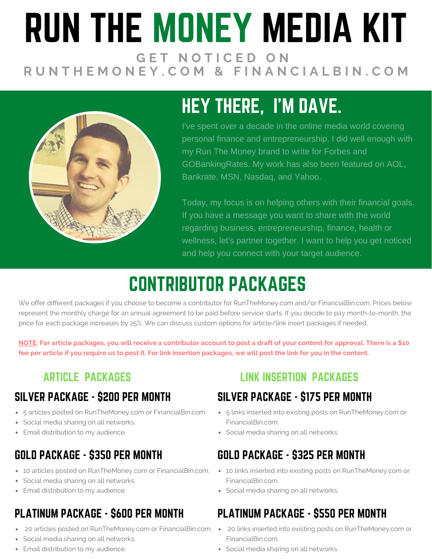# RUN THE MONEY MEDIA KIT **G E T N O T I C E D O N** RUNTHEMONEY.COM & FINANCIALBIN.COM



# HEY THERE, I'M DAVE.

I've spent over a decade in the online media world covering personal finance and entrepreneurship. I did well enough with my Run The Money brand to write for Forbes and GOBankingRates. My work has also been featured on AOL, Bankrate, MSN, Nasdaq, and Yahoo.

Today, my focus is on helping others with their financial goals. If you have a message you want to share with the world regarding business, entrepreneurship, finance, health or wellness, let's partner together. I want to help you get noticed and help you connect with your target audience.

# CONTRIBUTOR PACKAGES

We offer different packages if you choose to become a contributor for RunTheMoney.com and/or FinancialBin.com. Prices below represent the monthly charge for an annual agreement to be paid before service starts. If you decide to pay month-to-month, the price for each package increases by 25%. We can discuss custom options for article/link insert packages if needed.

NOTE: For article packages, you will receive a contributor account to post a draft of your content for approval. There is a \$10 fee per article if you require us to post it. For link insertion packages, we will post the link for you in the content.

#### SILVER PACKAGE - \$200 PER MONTH

- 5 articles posted on RunTheMoney.com or FinancialBin.com.
- Social media sharing on all networks.
- Email distribution to my audience.

#### GOLD PACKAGE - \$350 PER MONTH

- 10 articles posted on RunTheMoney.com or FinancialBin.com.
- Social media sharing on all networks.
- Email distribution to my audience.

### PLATINUM PACKAGE - \$600 PER MONTH

- 20 articles posted on RunTheMoney.com or FinancialBin.com.
- Social media sharing on all networks.
- Email distribution to my audience.

#### **ARTICLE PACKAGES LINK INSERTION PACKAGES**

#### SILVER PACKAGE - \$175 PER MONTH

- 5 links inserted into existing posts on RunTheMoney.com or FinancialBin.com.
- Social media sharing on all networks.

#### GOLD PACKAGE - \$325 PER MONTH

- 10 links inserted into existing posts on RunTheMoney.com or FinancialBin.com.
- Social media sharing on all networks.

#### PLATINUM PACKAGE - \$550 PER MONTH

- 20 links inserted into existing posts on RunTheMoney.com or FinancialBin.com.
- Social media sharing on all networks.